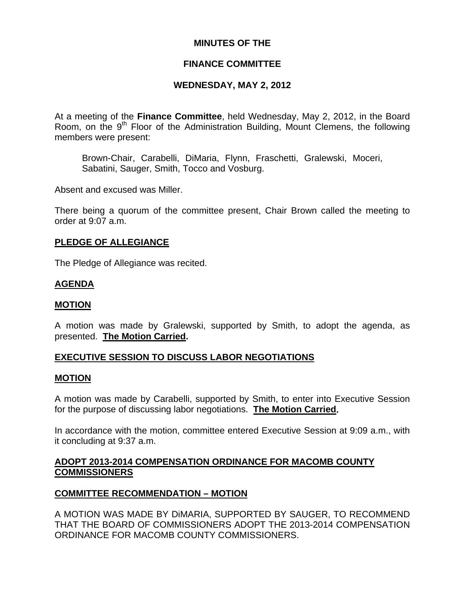## **MINUTES OF THE**

## **FINANCE COMMITTEE**

## **WEDNESDAY, MAY 2, 2012**

At a meeting of the **Finance Committee**, held Wednesday, May 2, 2012, in the Board Room, on the  $9<sup>th</sup>$  Floor of the Administration Building, Mount Clemens, the following members were present:

Brown-Chair, Carabelli, DiMaria, Flynn, Fraschetti, Gralewski, Moceri, Sabatini, Sauger, Smith, Tocco and Vosburg.

Absent and excused was Miller.

There being a quorum of the committee present, Chair Brown called the meeting to order at 9:07 a.m.

#### **PLEDGE OF ALLEGIANCE**

The Pledge of Allegiance was recited.

#### **AGENDA**

#### **MOTION**

A motion was made by Gralewski, supported by Smith, to adopt the agenda, as presented. **The Motion Carried.** 

## **EXECUTIVE SESSION TO DISCUSS LABOR NEGOTIATIONS**

#### **MOTION**

A motion was made by Carabelli, supported by Smith, to enter into Executive Session for the purpose of discussing labor negotiations. **The Motion Carried.**

In accordance with the motion, committee entered Executive Session at 9:09 a.m., with it concluding at 9:37 a.m.

## **ADOPT 2013-2014 COMPENSATION ORDINANCE FOR MACOMB COUNTY COMMISSIONERS**

## **COMMITTEE RECOMMENDATION – MOTION**

A MOTION WAS MADE BY DiMARIA, SUPPORTED BY SAUGER, TO RECOMMEND THAT THE BOARD OF COMMISSIONERS ADOPT THE 2013-2014 COMPENSATION ORDINANCE FOR MACOMB COUNTY COMMISSIONERS.